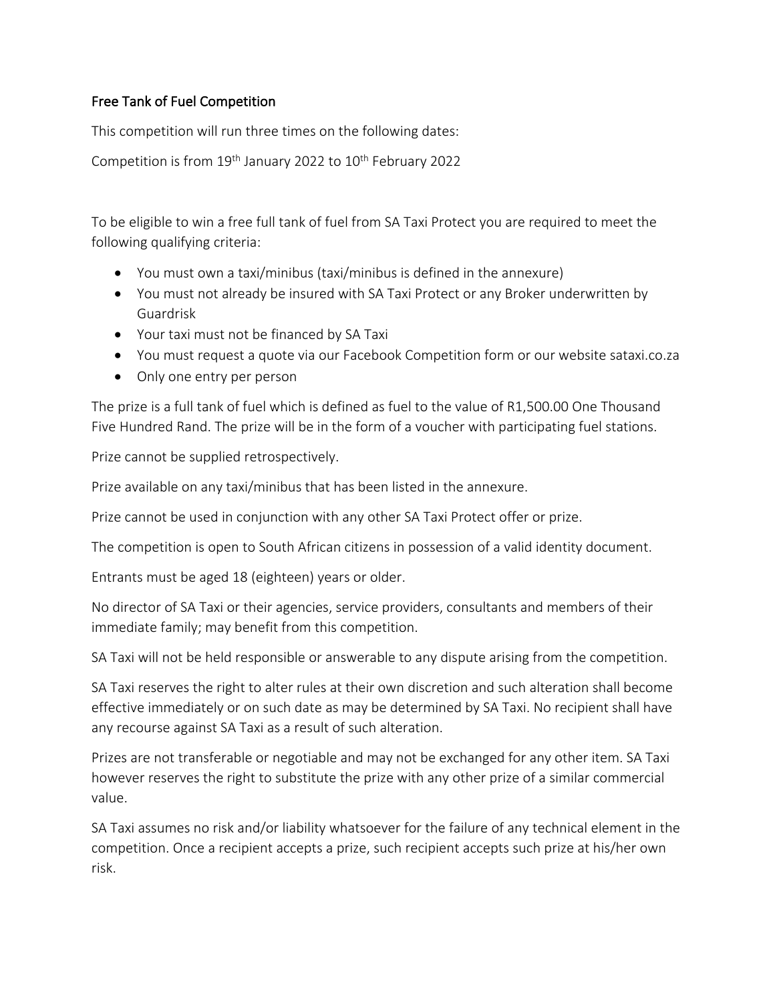## Free Tank of Fuel Competition

This competition will run three times on the following dates:

Competition is from  $19<sup>th</sup>$  January 2022 to  $10<sup>th</sup>$  February 2022

To be eligible to win a free full tank of fuel from SA Taxi Protect you are required to meet the following qualifying criteria:

- You must own a taxi/minibus (taxi/minibus is defined in the annexure)
- You must not already be insured with SA Taxi Protect or any Broker underwritten by Guardrisk
- Your taxi must not be financed by SA Taxi
- You must request a quote via our Facebook Competition form or our website sataxi.co.za
- Only one entry per person

The prize is a full tank of fuel which is defined as fuel to the value of R1,500.00 One Thousand Five Hundred Rand. The prize will be in the form of a voucher with participating fuel stations.

Prize cannot be supplied retrospectively.

Prize available on any taxi/minibus that has been listed in the annexure.

Prize cannot be used in conjunction with any other SA Taxi Protect offer or prize.

The competition is open to South African citizens in possession of a valid identity document.

Entrants must be aged 18 (eighteen) years or older.

No director of SA Taxi or their agencies, service providers, consultants and members of their immediate family; may benefit from this competition.

SA Taxi will not be held responsible or answerable to any dispute arising from the competition.

SA Taxi reserves the right to alter rules at their own discretion and such alteration shall become effective immediately or on such date as may be determined by SA Taxi. No recipient shall have any recourse against SA Taxi as a result of such alteration.

Prizes are not transferable or negotiable and may not be exchanged for any other item. SA Taxi however reserves the right to substitute the prize with any other prize of a similar commercial value.

SA Taxi assumes no risk and/or liability whatsoever for the failure of any technical element in the competition. Once a recipient accepts a prize, such recipient accepts such prize at his/her own risk.